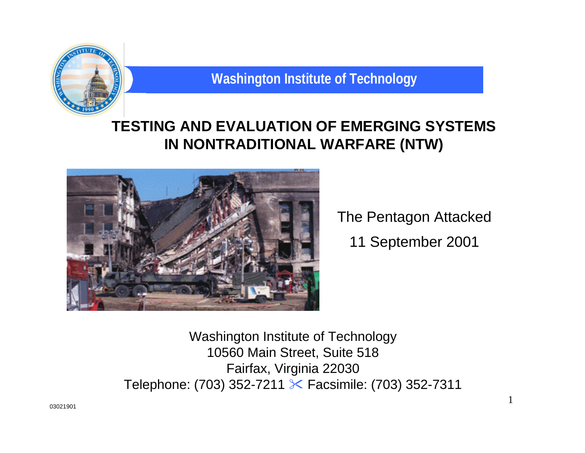

# **TESTING AND EVALUATION OF EMERGING SYSTEMS IN NONTRADITIONAL WARFARE (NTW)**



The Pentagon Attacked 11 September 2001

1

Washington Institute of Technology 10560 Main Street, Suite 518 Fairfax, Virginia 22030 Telephone: (703) 352-7211  $\times$  Facsimile: (703) 352-7311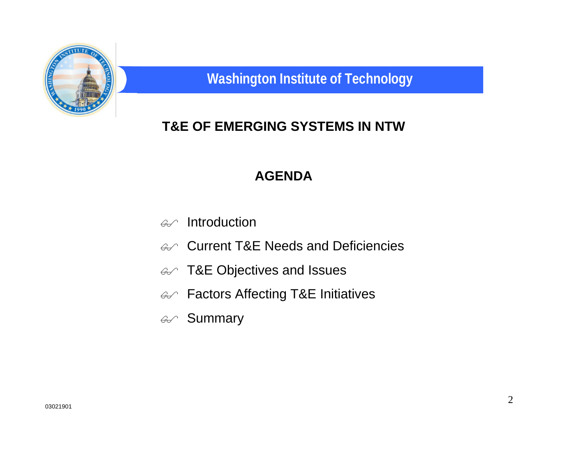

# **T&E OF EMERGING SYSTEMS IN NTW**

#### **AGENDA**

- $\mathscr{A}$  Introduction
- $\mathcal{A}$  Current T&E Needs and Deficiencies
- $\mathscr{A}$  T&E Objectives and Issues
- $\mathcal{A}$  Factors Affecting T&E Initiatives
- *a* Summary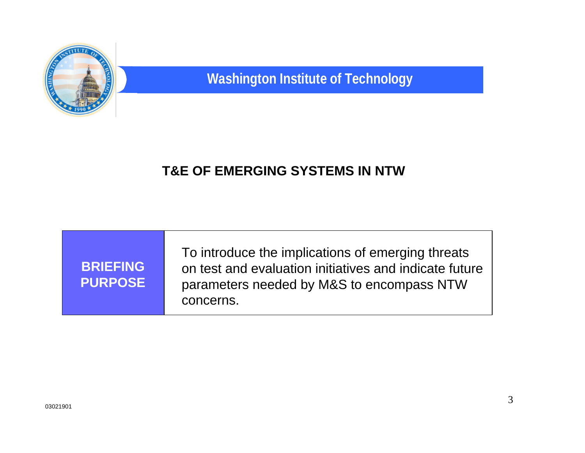

| <b>BRIEFING</b><br><b>PURPOSE</b> | To introduce the implications of emerging threats<br>on test and evaluation initiatives and indicate future<br>parameters needed by M&S to encompass NTW<br>concerns. |
|-----------------------------------|-----------------------------------------------------------------------------------------------------------------------------------------------------------------------|
|-----------------------------------|-----------------------------------------------------------------------------------------------------------------------------------------------------------------------|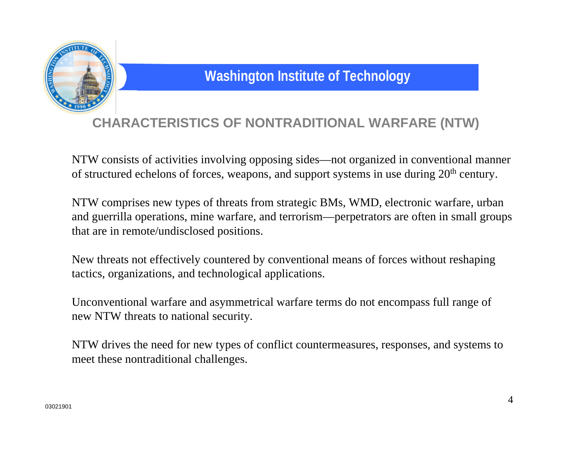

## **CHARACTERISTICS OF NONTRADITIONAL WARFARE (NTW)**

NTW consists of activities involving opposing sides—not organized in conventional manner of structured echelons of forces, weapons, and support systems in use during 20<sup>th</sup> century.

NTW comprises new types of threats from strategic BMs, WMD, electronic warfare, urban and guerrilla operations, mine warfare, and terrorism—perpetrators are often in small groups that are in remote/undisclosed positions.

New threats not effectively countered by conventional means of forces without reshaping tactics, organizations, and technological applications.

Unconventional warfare and asymmetrical warfare terms do not encompass full range of new NTW threats to national security.

NTW drives the need for new types of conflict countermeasures, responses, and systems to meet these nontraditional challenges.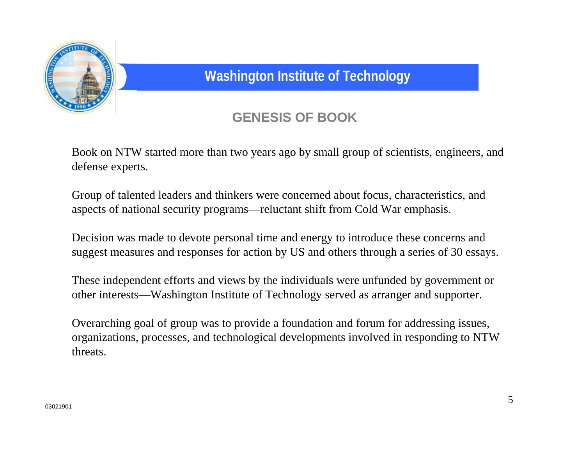

## **GENESIS OF BOOK**

Book on NTW started more than two years ago by small group of scientists, engineers, and defense experts.

Group of talented leaders and thinkers were concerned about focus, characteristics, and aspects of national security programs—reluctant shift from Cold War emphasis.

Decision was made to devote personal time and energy to introduce these concerns and suggest measures and responses for action by US and others through a series of 30 essays.

These independent efforts and views by the individuals were unfunded by government or other interests—Washington Institute of Technology served as arranger and supporter.

Overarching goal of group was to provide a foundation and forum for addressing issues, organizations, processes, and technological developments involved in responding to NTW threats.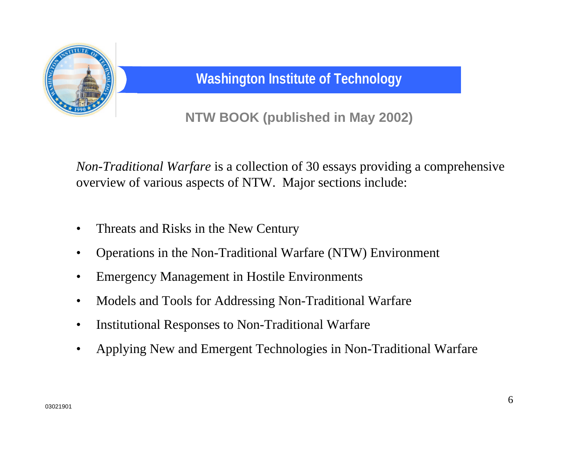

**NTW BOOK (published in May 2002)**

*Non-Traditional Warfare* is a collection of 30 essays providing a comprehensive overview of various aspects of NTW. Major sections include:

- Threats and Risks in the New Century
- Operations in the Non-Traditional Warfare (NTW) Environment
- Emergency Management in Hostile Environments
- Models and Tools for Addressing Non-Traditional Warfare
- Institutional Responses to Non-Traditional Warfare
- Applying New and Emergent Technologies in Non-Traditional Warfare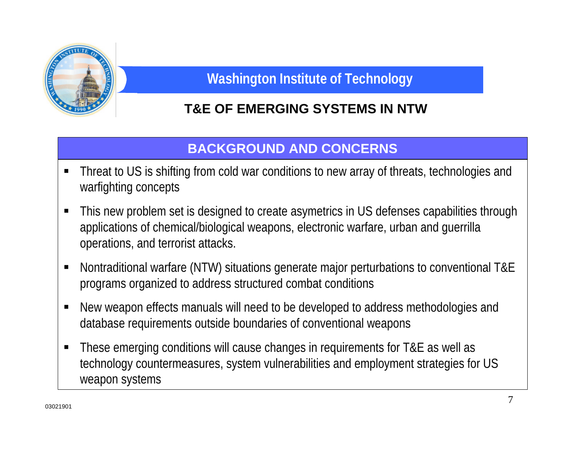

# **T&E OF EMERGING SYSTEMS IN NTW**

#### **BACKGROUND AND CONCERNS**

- Threat to US is shifting from cold war conditions to new array of threats, technologies and warfighting concepts
- This new problem set is designed to create asymetrics in US defenses capabilities through applications of chemical/biological weapons, electronic warfare, urban and guerrilla operations, and terrorist attacks.
- Nontraditional warfare (NTW) situations generate major perturbations to conventional T&E programs organized to address structured combat conditions
- New weapon effects manuals will need to be developed to address methodologies and database requirements outside boundaries of conventional weapons
- **These emerging conditions will cause changes in requirements for T&E as well as** technology countermeasures, system vulnerabilities and employment strategies for US weapon systems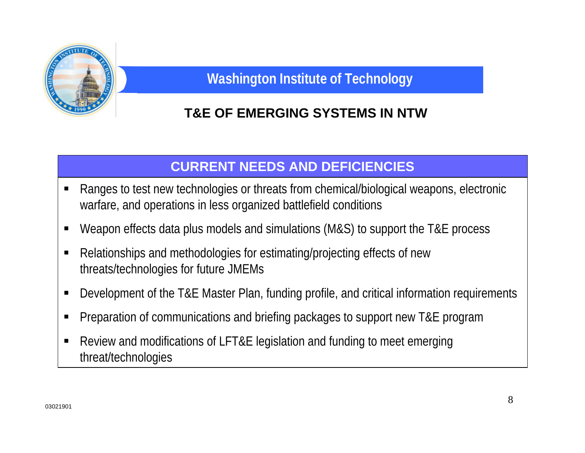

## **T&E OF EMERGING SYSTEMS IN NTW**

### **CURRENT NEEDS AND DEFICIENCIES**

- Ranges to test new technologies or threats from chemical/biological weapons, electronic warfare, and operations in less organized battlefield conditions
- Weapon effects data plus models and simulations (M&S) to support the T&E process
- Relationships and methodologies for estimating/projecting effects of new threats/technologies for future JMEMs
- Development of the T&E Master Plan, funding profile, and critical information requirements
- **Pereparation of communications and briefing packages to support new T&E program**
- Review and modifications of LFT&E legislation and funding to meet emerging threat/technologies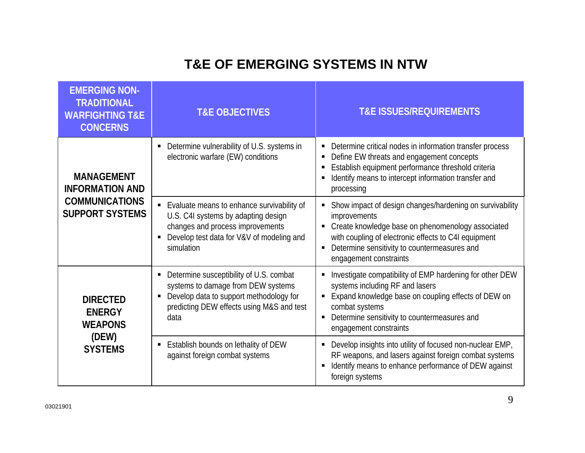| <b>EMERGING NON-</b><br><b>TRADITIONAL</b><br><b>WARFIGHTING T&amp;E</b><br><b>CONCERNS</b>    | <b>T&amp;E OBJECTIVES</b>                                                                                                                                                                            | <b>T&amp;E ISSUES/REQUIREMENTS</b>                                                                                                                                                                                                                                                      |
|------------------------------------------------------------------------------------------------|------------------------------------------------------------------------------------------------------------------------------------------------------------------------------------------------------|-----------------------------------------------------------------------------------------------------------------------------------------------------------------------------------------------------------------------------------------------------------------------------------------|
| <b>MANAGEMENT</b><br><b>INFORMATION AND</b><br><b>COMMUNICATIONS</b><br><b>SUPPORT SYSTEMS</b> | Determine vulnerability of U.S. systems in<br>ш<br>electronic warfare (EW) conditions                                                                                                                | Determine critical nodes in information transfer process<br>Ξ<br>Define EW threats and engagement concepts<br>Ξ<br>Establish equipment performance threshold criteria<br>п<br>Identify means to intercept information transfer and<br>П<br>processing                                   |
|                                                                                                | Evaluate means to enhance survivability of<br>U.S. C4I systems by adapting design<br>changes and process improvements<br>Develop test data for V&V of modeling and<br>simulation                     | Show impact of design changes/hardening on survivability<br>improvements<br>Create knowledge base on phenomenology associated<br>Ξ<br>with coupling of electronic effects to C4I equipment<br>Determine sensitivity to countermeasures and<br>Ξ<br>engagement constraints               |
| <b>DIRECTED</b><br><b>ENERGY</b><br><b>WEAPONS</b><br>(DEW)<br><b>SYSTEMS</b>                  | Determine susceptibility of U.S. combat<br>п<br>systems to damage from DEW systems<br>Develop data to support methodology for<br>$\blacksquare$<br>predicting DEW effects using M&S and test<br>data | Investigate compatibility of EMP hardening for other DEW<br>$\blacksquare$<br>systems including RF and lasers<br>Expand knowledge base on coupling effects of DEW on<br>п<br>combat systems<br>Determine sensitivity to countermeasures and<br>$\blacksquare$<br>engagement constraints |
|                                                                                                | Establish bounds on lethality of DEW<br>ш<br>against foreign combat systems                                                                                                                          | Develop insights into utility of focused non-nuclear EMP,<br>Ξ<br>RF weapons, and lasers against foreign combat systems<br>Identify means to enhance performance of DEW against<br>$\blacksquare$<br>foreign systems                                                                    |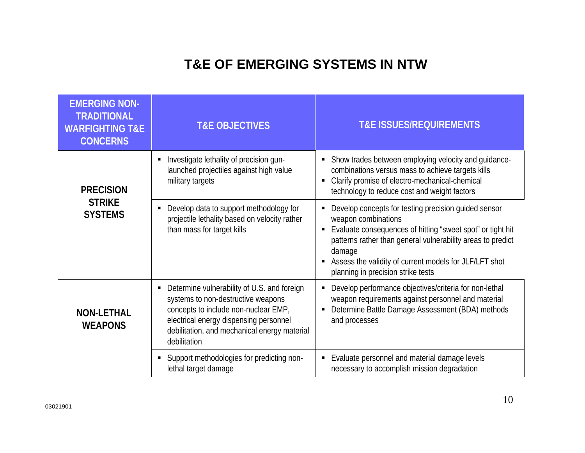| <b>EMERGING NON-</b><br><b>TRADITIONAL</b><br><b>WARFIGHTING T&amp;E</b><br><b>CONCERNS</b>                                                                                                                                                                                | <b>T&amp;E OBJECTIVES</b>                                                                                              | <b>T&amp;E ISSUES/REQUIREMENTS</b>                                                                                                                                                                                                                                                                                                                          |  |
|----------------------------------------------------------------------------------------------------------------------------------------------------------------------------------------------------------------------------------------------------------------------------|------------------------------------------------------------------------------------------------------------------------|-------------------------------------------------------------------------------------------------------------------------------------------------------------------------------------------------------------------------------------------------------------------------------------------------------------------------------------------------------------|--|
| <b>PRECISION</b>                                                                                                                                                                                                                                                           | Investigate lethality of precision gun-<br>launched projectiles against high value<br>military targets                 | • Show trades between employing velocity and guidance-<br>combinations versus mass to achieve targets kills<br>Clarify promise of electro-mechanical-chemical<br>$\blacksquare$<br>technology to reduce cost and weight factors                                                                                                                             |  |
| <b>STRIKE</b><br><b>SYSTEMS</b>                                                                                                                                                                                                                                            | Develop data to support methodology for<br>projectile lethality based on velocity rather<br>than mass for target kills | Develop concepts for testing precision guided sensor<br>Ξ<br>weapon combinations<br>Evaluate consequences of hitting "sweet spot" or tight hit<br>$\blacksquare$<br>patterns rather than general vulnerability areas to predict<br>damage<br>Assess the validity of current models for JLF/LFT shot<br>$\blacksquare$<br>planning in precision strike tests |  |
| Determine vulnerability of U.S. and foreign<br>systems to non-destructive weapons<br>concepts to include non-nuclear EMP,<br><b>NON-LETHAL</b><br>electrical energy dispensing personnel<br><b>WEAPONS</b><br>debilitation, and mechanical energy material<br>debilitation |                                                                                                                        | Develop performance objectives/criteria for non-lethal<br>$\blacksquare$<br>weapon requirements against personnel and material<br>Determine Battle Damage Assessment (BDA) methods<br>П<br>and processes                                                                                                                                                    |  |
|                                                                                                                                                                                                                                                                            | Support methodologies for predicting non-<br>$\blacksquare$<br>lethal target damage                                    | Evaluate personnel and material damage levels<br>Ξ<br>necessary to accomplish mission degradation                                                                                                                                                                                                                                                           |  |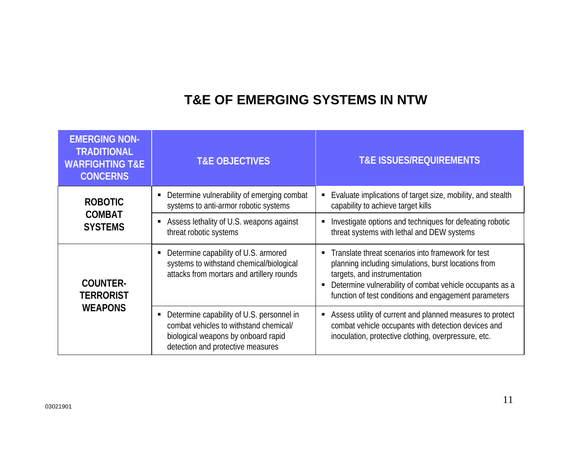| <b>EMERGING NON-</b><br><b>TRADITIONAL</b><br><b>WARFIGHTING T&amp;E</b><br><b>CONCERNS</b> | <b>T&amp;E OBJECTIVES</b>                                                                                                                                            | <b>T&amp;E ISSUES/REQUIREMENTS</b>                                                                                                                                                                                                                                                |
|---------------------------------------------------------------------------------------------|----------------------------------------------------------------------------------------------------------------------------------------------------------------------|-----------------------------------------------------------------------------------------------------------------------------------------------------------------------------------------------------------------------------------------------------------------------------------|
| <b>ROBOTIC</b>                                                                              | Determine vulnerability of emerging combat<br>٠<br>systems to anti-armor robotic systems                                                                             | Evaluate implications of target size, mobility, and stealth<br>п<br>capability to achieve target kills                                                                                                                                                                            |
| <b>COMBAT</b><br><b>SYSTEMS</b>                                                             | Assess lethality of U.S. weapons against<br>٠<br>threat robotic systems                                                                                              | Investigate options and techniques for defeating robotic<br>Е<br>threat systems with lethal and DEW systems                                                                                                                                                                       |
| <b>COUNTER-</b><br><b>TERRORIST</b><br><b>WEAPONS</b>                                       | Determine capability of U.S. armored<br>п<br>systems to withstand chemical/biological<br>attacks from mortars and artillery rounds                                   | Translate threat scenarios into framework for test<br>$\blacksquare$<br>planning including simulations, burst locations from<br>targets, and instrumentation<br>Determine vulnerability of combat vehicle occupants as a<br>function of test conditions and engagement parameters |
|                                                                                             | Determine capability of U.S. personnel in<br>Ξ<br>combat vehicles to withstand chemical/<br>biological weapons by onboard rapid<br>detection and protective measures | Assess utility of current and planned measures to protect<br>Ξ<br>combat vehicle occupants with detection devices and<br>inoculation, protective clothing, overpressure, etc.                                                                                                     |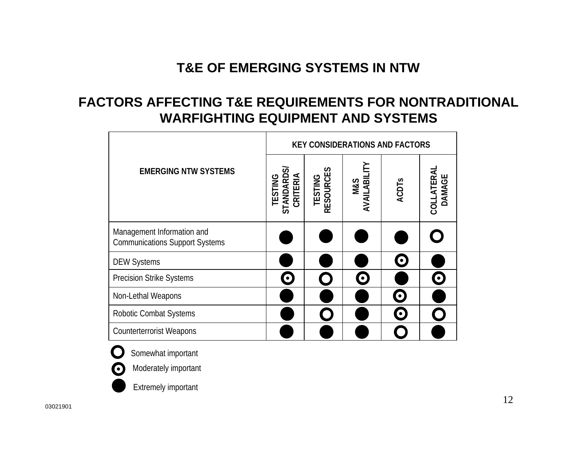#### **FACTORS AFFECTING T&E REQUIREMENTS FOR NONTRADITIONAL WARFIGHTING EQUIPMENT AND SYSTEMS**

|                                                                     |                                        |                      | <b>KEY CONSIDERATIONS AND FACTORS</b> |              |                      |
|---------------------------------------------------------------------|----------------------------------------|----------------------|---------------------------------------|--------------|----------------------|
| <b>EMERGING NTW SYSTEMS</b>                                         | STANDARD<br>CRITERIA<br><b>TESTING</b> | TESTING<br>RESOURCES | AVAILABIL<br><b>M&amp;S</b>           | <b>ACDTs</b> | COLLATERAL<br>DAMAGE |
| Management Information and<br><b>Communications Support Systems</b> |                                        |                      |                                       |              |                      |
| <b>DEW Systems</b>                                                  |                                        |                      |                                       | $\bullet$    |                      |
| <b>Precision Strike Systems</b>                                     | $\bullet$                              |                      | $\bullet$                             |              |                      |
| Non-Lethal Weapons                                                  |                                        |                      |                                       | $\bullet$    |                      |
| <b>Robotic Combat Systems</b>                                       |                                        |                      |                                       | $\bullet$    |                      |
| <b>Counterterrorist Weapons</b>                                     |                                        |                      |                                       |              |                      |



Somewhat important

Moderately important

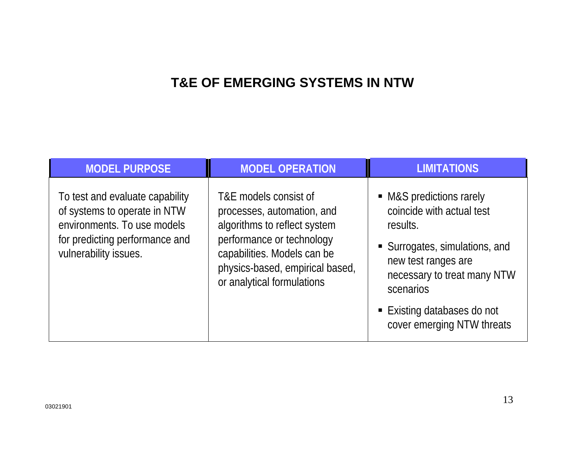| <b>MODEL PURPOSE</b>                                                                                                                                      | <b>MODEL OPERATION</b>                                                                                                                                                                                           | <b>LIMITATIONS</b>                                                                                                                                                                                                                  |
|-----------------------------------------------------------------------------------------------------------------------------------------------------------|------------------------------------------------------------------------------------------------------------------------------------------------------------------------------------------------------------------|-------------------------------------------------------------------------------------------------------------------------------------------------------------------------------------------------------------------------------------|
| To test and evaluate capability<br>of systems to operate in NTW<br>environments. To use models<br>for predicting performance and<br>vulnerability issues. | T&E models consist of<br>processes, automation, and<br>algorithms to reflect system<br>performance or technology<br>capabilities. Models can be<br>physics-based, empirical based,<br>or analytical formulations | • M&S predictions rarely<br>coincide with actual test<br>results.<br>• Surrogates, simulations, and<br>new test ranges are<br>necessary to treat many NTW<br>scenarios<br>■ Existing databases do not<br>cover emerging NTW threats |